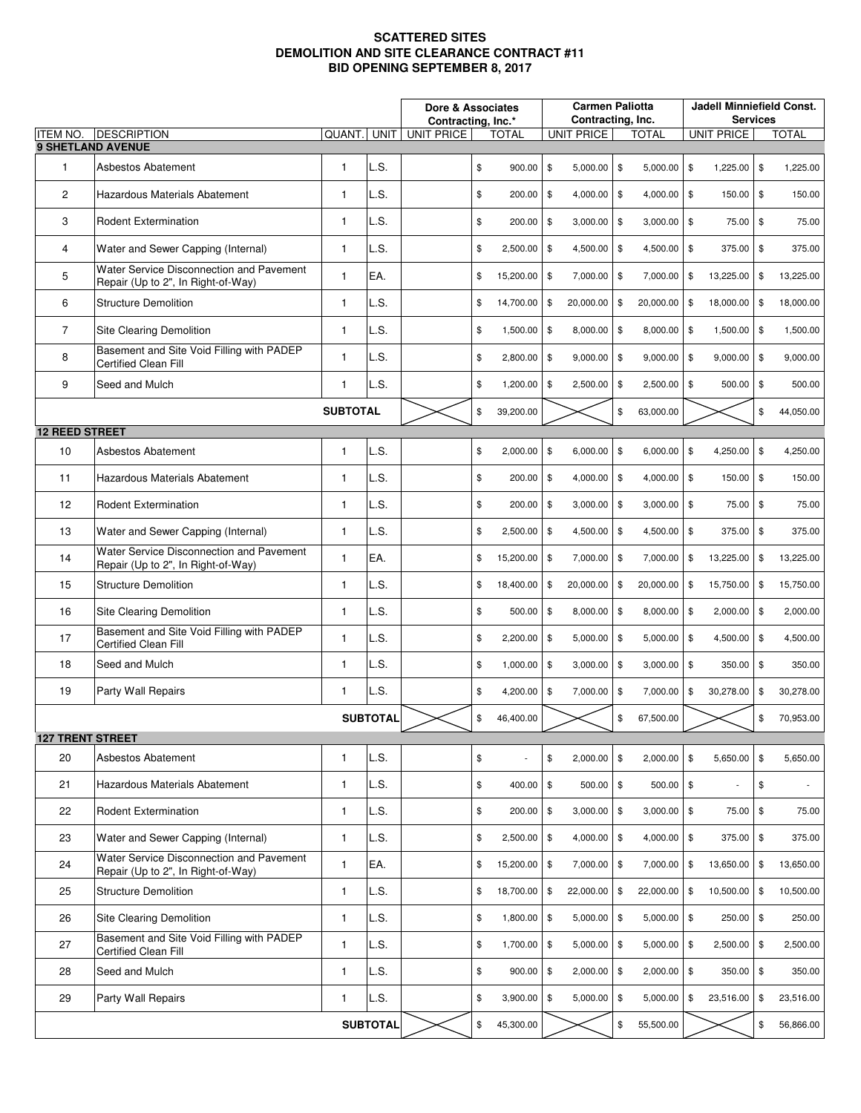## **SCATTERED SITES DEMOLITION AND SITE CLEARANCE CONTRACT #11 BID OPENING SEPTEMBER 8, 2017**

|                         |                                                                                |                 |                 | Dore & Associates<br>Contracting, Inc.* |    |               | <b>Carmen Paliotta</b><br>Contracting, Inc. |               |               |                   | <b>Jadell Minniefield Const.</b><br><b>Services</b> |    |                          |  |  |
|-------------------------|--------------------------------------------------------------------------------|-----------------|-----------------|-----------------------------------------|----|---------------|---------------------------------------------|---------------|---------------|-------------------|-----------------------------------------------------|----|--------------------------|--|--|
| <b>ITEM NO.</b>         | <b>DESCRIPTION</b>                                                             | QUANT.          | <b>UNIT</b>     | <b>UNIT PRICE</b><br>TOTAL              |    |               | <b>UNIT PRICE</b><br>TOTAL                  |               |               | <b>UNIT PRICE</b> |                                                     |    | <b>TOTAL</b>             |  |  |
|                         | <b>9 SHETLAND AVENUE</b>                                                       |                 |                 |                                         |    |               |                                             |               |               |                   |                                                     |    |                          |  |  |
| 1                       | Asbestos Abatement                                                             | 1               | L.S.            |                                         | \$ | 900.00        | \$<br>5,000.00                              | \$            | 5,000.00      | \$                | $1,225.00$ \$                                       |    | 1,225.00                 |  |  |
| $\overline{2}$          | Hazardous Materials Abatement                                                  | $\mathbf{1}$    | L.S.            |                                         | \$ | 200.00        | \$<br>4,000.00                              | \$            | $4,000.00$ \$ |                   | 150.00                                              | \$ | 150.00                   |  |  |
| 3                       | <b>Rodent Extermination</b>                                                    | $\mathbf{1}$    | L.S.            |                                         | \$ | 200.00        | \$<br>3,000.00                              | \$            | $3,000.00$ \$ |                   | 75.00                                               | \$ | 75.00                    |  |  |
| 4                       | Water and Sewer Capping (Internal)                                             | 1               | L.S.            |                                         | \$ | 2,500.00      | \$<br>4,500.00                              | \$            | $4,500.00$ \$ |                   | 375.00                                              | \$ | 375.00                   |  |  |
| 5                       | Water Service Disconnection and Pavement<br>Repair (Up to 2", In Right-of-Way) | $\mathbf{1}$    | EA.             |                                         | \$ | 15,200.00     | \$<br>7,000.00                              | \$            | 7,000.00      | \$                | 13,225.00                                           | \$ | 13,225.00                |  |  |
| 6                       | <b>Structure Demolition</b>                                                    | $\mathbf{1}$    | L.S.            |                                         | \$ | 14,700.00     | \$<br>20,000.00                             | \$            | 20,000.00     | \$                | 18,000.00                                           | \$ | 18,000.00                |  |  |
| $\overline{7}$          | Site Clearing Demolition                                                       | $\mathbf{1}$    | L.S.            |                                         | \$ | 1,500.00      | \$<br>8,000.00                              | \$            | 8,000.00 \$   |                   | $1,500.00$ \$                                       |    | 1,500.00                 |  |  |
| 8                       | Basement and Site Void Filling with PADEP<br><b>Certified Clean Fill</b>       | $\mathbf{1}$    | L.S.            |                                         | \$ | 2,800.00      | \$<br>9,000.00                              | \$            | $9,000.00$ \$ |                   | $9,000.00$ \$                                       |    | 9,000.00                 |  |  |
| 9                       | Seed and Mulch                                                                 | $\mathbf{1}$    | L.S.            |                                         | \$ | 1,200.00      | \$<br>2,500.00                              | \$            | $2,500.00$ \$ |                   | $500.00$ \$                                         |    | 500.00                   |  |  |
|                         |                                                                                | <b>SUBTOTAL</b> |                 |                                         | \$ | 39.200.00     |                                             | \$            | 63,000.00     |                   |                                                     | \$ | 44,050.00                |  |  |
| <b>12 REED STREET</b>   |                                                                                |                 |                 |                                         |    |               |                                             |               |               |                   |                                                     |    |                          |  |  |
| 10                      | Asbestos Abatement                                                             | $\mathbf{1}$    | L.S.            |                                         | \$ | 2,000.00      | \$<br>6,000.00                              | \$            | $6,000.00$ \$ |                   | 4,250.00                                            | \$ | 4,250.00                 |  |  |
| 11                      | Hazardous Materials Abatement                                                  | $\mathbf{1}$    | L.S.            |                                         | \$ | 200.00        | \$<br>4,000.00                              | \$            | $4,000.00$ \$ |                   | 150.00                                              | \$ | 150.00                   |  |  |
| 12                      | <b>Rodent Extermination</b>                                                    | $\mathbf{1}$    | L.S.            |                                         | \$ | 200.00        | \$<br>3,000.00                              | \$            | $3,000.00$ \$ |                   | 75.00                                               | \$ | 75.00                    |  |  |
| 13                      | Water and Sewer Capping (Internal)                                             | $\mathbf{1}$    | L.S.            |                                         | \$ | 2,500.00      | \$<br>4,500.00                              | \$            | 4,500.00 \$   |                   | 375.00                                              | \$ | 375.00                   |  |  |
| 14                      | Water Service Disconnection and Pavement<br>Repair (Up to 2", In Right-of-Way) | $\mathbf{1}$    | EA.             |                                         | \$ | 15,200.00     | \$<br>7,000.00                              | \$            | 7,000.00      | \$                | 13,225.00                                           | \$ | 13,225.00                |  |  |
| 15                      | <b>Structure Demolition</b>                                                    | $\mathbf{1}$    | L.S.            |                                         | \$ | 18,400.00     | \$<br>20,000.00                             | \$            | 20,000.00     | \$                | 15,750.00                                           | \$ | 15,750.00                |  |  |
| 16                      | Site Clearing Demolition                                                       | $\mathbf{1}$    | L.S.            |                                         | \$ | 500.00        | \$<br>8,000.00                              | \$            | $8,000.00$ \$ |                   | $2,000.00$ \$                                       |    | 2,000.00                 |  |  |
| 17                      | Basement and Site Void Filling with PADEP<br><b>Certified Clean Fill</b>       | $\mathbf{1}$    | L.S.            |                                         | \$ | 2,200.00      | \$<br>5,000.00                              | -\$           | $5,000.00$ \$ |                   | 4,500.00                                            | \$ | 4,500.00                 |  |  |
| 18                      | Seed and Mulch                                                                 | $\mathbf{1}$    | L.S.            |                                         | \$ | 1,000.00      | \$<br>3,000.00                              | \$            | $3,000.00$ \$ |                   | 350.00 \$                                           |    | 350.00                   |  |  |
| 19                      | Party Wall Repairs                                                             | 1               | L.S.            |                                         | \$ | 4,200.00      | \$<br>7,000.00                              | \$            | 7,000.00      | \$                | 30,278.00                                           | \$ | 30,278.00                |  |  |
|                         |                                                                                |                 | <b>SUBTOTAL</b> |                                         | \$ | 46,400.00     |                                             | \$            | 67,500.00     |                   |                                                     | \$ | 70,953.00                |  |  |
| <b>127 TRENT STREET</b> |                                                                                |                 |                 |                                         |    |               |                                             |               |               |                   |                                                     |    |                          |  |  |
| 20                      | Asbestos Abatement                                                             | 1               | L.S.            |                                         | \$ |               | \$<br>2,000.00                              | \$            | 2,000.00      | \$                | 5,650.00                                            | \$ | 5,650.00                 |  |  |
| 21                      | Hazardous Materials Abatement                                                  | $\mathbf{1}$    | L.S.            |                                         | \$ | 400.00        | $\$$<br>500.00                              | $\frac{3}{2}$ | $500.00$ \$   |                   |                                                     | \$ | $\overline{\phantom{a}}$ |  |  |
| 22                      | <b>Rodent Extermination</b>                                                    | $\mathbf{1}$    | L.S.            |                                         | \$ | 200.00        | \$<br>3,000.00                              | $\sqrt{3}$    | $3,000.00$ \$ |                   | 75.00                                               | \$ | 75.00                    |  |  |
| 23                      | Water and Sewer Capping (Internal)                                             | $\mathbf{1}$    | L.S.            |                                         | \$ | $2,500.00$ \$ | 4,000.00                                    | $\frac{3}{2}$ | $4,000.00$ \$ |                   | 375.00 \$                                           |    | 375.00                   |  |  |
| 24                      | Water Service Disconnection and Pavement<br>Repair (Up to 2", In Right-of-Way) | $\mathbf{1}$    | EA.             |                                         | \$ | 15,200.00     | \$<br>7,000.00                              | <b>\$</b>     | $7,000.00$ \$ |                   | 13,650.00                                           | \$ | 13,650.00                |  |  |
| 25                      | <b>Structure Demolition</b>                                                    | 1               | L.S.            |                                         | \$ | 18,700.00     | \$<br>22,000.00                             | \$            | 22,000.00     | \$                | 10,500.00                                           | \$ | 10,500.00                |  |  |
| 26                      | <b>Site Clearing Demolition</b>                                                | $\mathbf{1}$    | L.S.            |                                         | \$ | 1,800.00 \$   | 5,000.00                                    | $\frac{3}{2}$ | $5,000.00$ \$ |                   | $250.00$ \$                                         |    | 250.00                   |  |  |
| 27                      | Basement and Site Void Filling with PADEP<br><b>Certified Clean Fill</b>       | $\mathbf{1}$    | L.S.            |                                         | \$ | 1,700.00      | \$<br>5,000.00                              | $\frac{3}{2}$ | $5,000.00$ \$ |                   | 2,500.00                                            | \$ | 2,500.00                 |  |  |
| 28                      | Seed and Mulch                                                                 | $\mathbf{1}$    | L.S.            |                                         | \$ | 900.00        | \$<br>2,000.00                              | $\frac{3}{2}$ | $2,000.00$ \$ |                   | $350.00$ \$                                         |    | 350.00                   |  |  |
| 29                      | Party Wall Repairs                                                             | 1               | L.S.            |                                         | \$ | 3,900.00      | \$<br>5,000.00                              | $\frac{3}{2}$ | 5,000.00      | \$                | 23,516.00 \$                                        |    | 23,516.00                |  |  |
| <b>SUBTOTAL</b>         |                                                                                |                 |                 |                                         | \$ | 45,300.00     |                                             | \$            | 55,500.00     |                   |                                                     | \$ | 56,866.00                |  |  |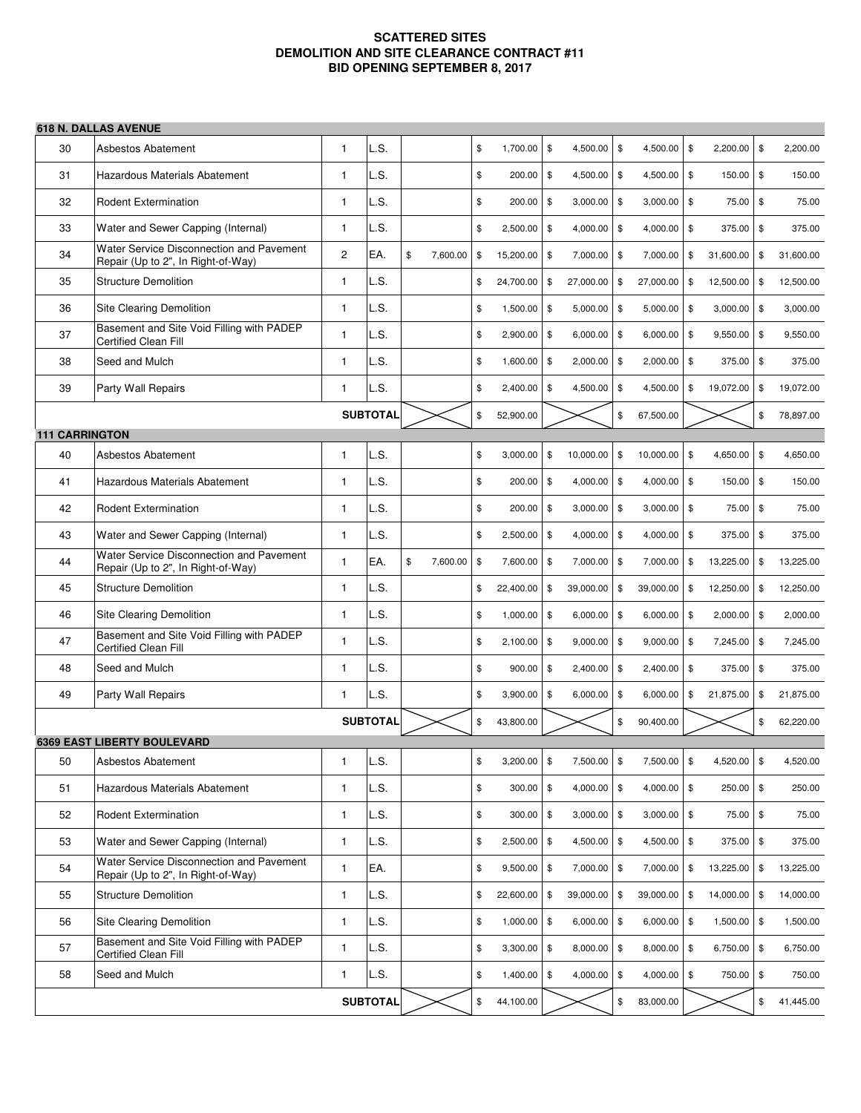## **SCATTERED SITES DEMOLITION AND SITE CLEARANCE CONTRACT #11 BID OPENING SEPTEMBER 8, 2017**

## **618 N. DALLAS AVENUE**

| 30                    | Asbestos Abatement                                                             | 1              | L.S.            |    |          | \$            | 1,700.00      | \$   | 4,500.00      | \$            | 4,500.00 \$   |               | 2,200.00      | \$<br>2,200.00  |
|-----------------------|--------------------------------------------------------------------------------|----------------|-----------------|----|----------|---------------|---------------|------|---------------|---------------|---------------|---------------|---------------|-----------------|
| 31                    | Hazardous Materials Abatement                                                  | $\mathbf{1}$   | L.S.            |    |          | \$            | 200.00        | \$   | 4,500.00      | \$            | 4,500.00 \$   |               | 150.00        | \$<br>150.00    |
| 32                    | <b>Rodent Extermination</b>                                                    | 1              | L.S.            |    |          | \$            | 200.00        | \$   | 3,000.00      | \$            | $3,000.00$ \$ |               | 75.00         | \$<br>75.00     |
| 33                    | Water and Sewer Capping (Internal)                                             | 1              | L.S.            |    |          | \$            | 2,500.00      | \$   | 4,000.00      | \$            | $4,000.00$ \$ |               | 375.00        | \$<br>375.00    |
| 34                    | Water Service Disconnection and Pavement<br>Repair (Up to 2", In Right-of-Way) | $\overline{c}$ | EA.             | \$ | 7,600.00 | \$            | 15,200.00     | \$   | 7,000.00      | \$            | 7,000.00      | \$            | 31,600.00     | \$<br>31,600.00 |
| 35                    | <b>Structure Demolition</b>                                                    | $\mathbf{1}$   | L.S.            |    |          | \$            | 24,700.00     | \$   | 27,000.00     | \$            | 27,000.00     | \$            | 12,500.00     | \$<br>12,500.00 |
| 36                    | Site Clearing Demolition                                                       | $\mathbf{1}$   | L.S.            |    |          | \$            | 1,500.00      | \$   | 5,000.00      | \$            | $5,000.00$ \$ |               | 3,000.00      | \$<br>3,000.00  |
| 37                    | Basement and Site Void Filling with PADEP<br><b>Certified Clean Fill</b>       | 1              | L.S.            |    |          | \$            | 2,900.00      | \$   | 6,000.00      | -\$           | 6,000.00      | \$            | 9,550.00      | \$<br>9,550.00  |
| 38                    | Seed and Mulch                                                                 | 1              | L.S.            |    |          | \$            | 1,600.00      | \$   | 2,000.00      | \$            | 2,000.00 \$   |               | 375.00        | \$<br>375.00    |
| 39                    | Party Wall Repairs                                                             | 1              | L.S.            |    |          | \$            | 2,400.00      | \$   | 4,500.00      | \$            | 4,500.00      | \$            | 19,072.00     | \$<br>19,072.00 |
|                       |                                                                                |                | <b>SUBTOTAL</b> |    |          | \$            | 52,900.00     |      |               | \$            | 67,500.00     |               |               | \$<br>78,897.00 |
| <b>111 CARRINGTON</b> |                                                                                |                |                 |    |          |               |               |      |               |               |               |               |               |                 |
| 40                    | Asbestos Abatement                                                             | 1              | L.S.            |    |          | \$            | 3,000.00      | \$   | 10,000.00     | \$            | 10,000.00     | \$            | 4,650.00      | \$<br>4,650.00  |
| 41                    | Hazardous Materials Abatement                                                  | 1              | L.S.            |    |          | \$            | 200.00        | \$   | 4,000.00      | <b>\$</b>     | $4,000.00$ \$ |               | 150.00        | \$<br>150.00    |
| 42                    | <b>Rodent Extermination</b>                                                    | 1              | L.S.            |    |          | \$            | 200.00        | \$   | 3,000.00      | \$            | 3,000.00      | \$            | 75.00         | \$<br>75.00     |
| 43                    | Water and Sewer Capping (Internal)                                             | 1              | L.S.            |    |          | \$            | 2,500.00      | \$   | 4,000.00      | \$            | $4,000.00$ \$ |               | 375.00        | \$<br>375.00    |
| 44                    | Water Service Disconnection and Pavement<br>Repair (Up to 2", In Right-of-Way) | 1              | EA.             | \$ | 7,600.00 | $\frac{3}{2}$ | 7,600.00      | \$   | 7,000.00      | \$            | 7,000.00      | $\frac{3}{2}$ | 13,225.00     | \$<br>13,225.00 |
| 45                    | <b>Structure Demolition</b>                                                    | $\mathbf{1}$   | L.S.            |    |          | \$            | 22,400.00     | \$   | 39,000.00     | \$            | 39,000.00     | \$            | 12,250.00     | \$<br>12,250.00 |
| 46                    | Site Clearing Demolition                                                       | 1              | LS.             |    |          | \$            | 1,000.00      | \$   | 6,000.00      | \$            | $6,000.00$ \$ |               | 2,000.00      | \$<br>2,000.00  |
| 47                    | Basement and Site Void Filling with PADEP<br><b>Certified Clean Fill</b>       | $\mathbf{1}$   | L.S.            |    |          | \$            | 2,100.00      | \$   | 9,000.00      | \$            | $9,000.00$ \$ |               | 7,245.00      | \$<br>7,245.00  |
| 48                    | Seed and Mulch                                                                 | $\mathbf{1}$   | L.S.            |    |          | \$            | 900.00        | \$   | 2,400.00      | \$            | 2,400.00 \$   |               | 375.00        | \$<br>375.00    |
| 49                    | Party Wall Repairs                                                             | 1              | LS.             |    |          | \$            | 3,900.00      | \$   | 6,000.00      | \$            | 6,000.00      | \$            | 21,875.00     | \$<br>21,875.00 |
|                       |                                                                                |                | <b>SUBTOTAL</b> |    |          | \$            | 43,800.00     |      |               | \$            | 90,400.00     |               |               | \$<br>62,220.00 |
|                       | <b>6369 EAST LIBERTY BOULEVARD</b>                                             |                |                 |    |          |               |               |      |               |               |               |               |               |                 |
| 50                    | Asbestos Abatement                                                             | 1              | L.S.            |    |          | \$            | 3,200.00      | \$   | 7,500.00 \$   |               | 7,500.00 \$   |               | 4,520.00      | \$<br>4,520.00  |
| 51                    | Hazardous Materials Abatement                                                  | 1              | L.S.            |    |          | \$            | 300.00        | \$   | 4,000.00      | l \$          | $4,000.00$ \$ |               | $250.00$ \$   | 250.00          |
| 52                    | Rodent Extermination                                                           | 1              | L.S.            |    |          | \$            | 300.00        | $\$$ | 3,000.00      | <b>\$</b>     | $3,000.00$ \$ |               | 75.00 \$      | 75.00           |
| 53                    | Water and Sewer Capping (Internal)                                             | 1              | L.S.            |    |          | \$            | 2,500.00      | \$   | 4,500.00      | <b>\$</b>     | 4,500.00 \$   |               | 375.00        | \$<br>375.00    |
| 54                    | Water Service Disconnection and Pavement<br>Repair (Up to 2", In Right-of-Way) | $\mathbf{1}$   | EA.             |    |          | \$            | 9,500.00      | \$   | 7,000.00      | l \$          | 7,000.00      | \$            | 13,225.00     | \$<br>13,225.00 |
| 55                    | <b>Structure Demolition</b>                                                    | 1              | L.S.            |    |          | \$            | 22,600.00     | \$   | 39,000.00     | \$            | 39,000.00 \$  |               | 14,000.00     | \$<br>14,000.00 |
| 56                    | Site Clearing Demolition                                                       | 1              | L.S.            |    |          | \$            | 1,000.00      | \$   | 6,000.00      | $\frac{3}{2}$ | $6,000.00$ \$ |               | $1,500.00$ \$ | 1,500.00        |
| 57                    | Basement and Site Void Filling with PADEP<br>Certified Clean Fill              | $\mathbf{1}$   | L.S.            |    |          | \$            | 3,300.00      | $\$$ | 8,000.00      | $\frac{3}{2}$ | 8,000.00 \$   |               | 6,750.00 \$   | 6,750.00        |
| 58                    | Seed and Mulch                                                                 | 1              | L.S.            |    |          | \$            | $1,400.00$ \$ |      | $4,000.00$ \$ |               | $4,000.00$ \$ |               | 750.00 \$     | 750.00          |
| <b>SUBTOTAL</b>       |                                                                                |                |                 |    |          | \$            | 44,100.00     |      |               | \$            | 83,000.00     |               |               | \$<br>41,445.00 |